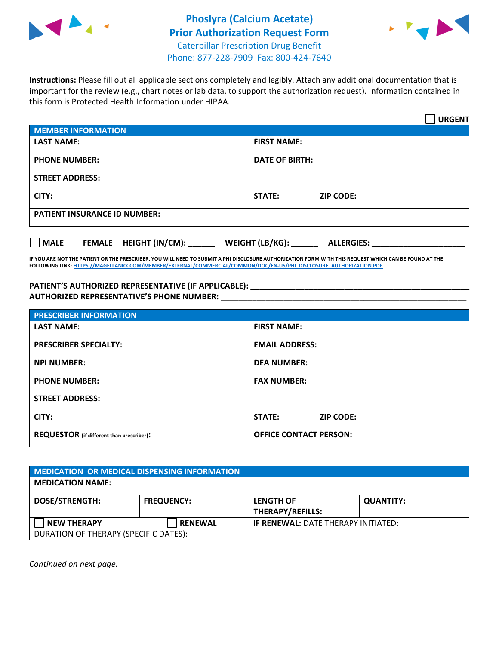



**Instructions:** Please fill out all applicable sections completely and legibly. Attach any additional documentation that is important for the review (e.g., chart notes or lab data, to support the authorization request). Information contained in this form is Protected Health Information under HIPAA.

|                                       | <b>URGENT</b>                        |  |  |  |
|---------------------------------------|--------------------------------------|--|--|--|
| <b>MEMBER INFORMATION</b>             |                                      |  |  |  |
| <b>LAST NAME:</b>                     | <b>FIRST NAME:</b>                   |  |  |  |
| <b>PHONE NUMBER:</b>                  | <b>DATE OF BIRTH:</b>                |  |  |  |
| <b>STREET ADDRESS:</b>                |                                      |  |  |  |
| CITY:                                 | <b>STATE:</b><br><b>ZIP CODE:</b>    |  |  |  |
| <b>PATIENT INSURANCE ID NUMBER:</b>   |                                      |  |  |  |
| FEMALE HEIGHT (IN/CM):<br><b>MALE</b> | WEIGHT (LB/KG):<br><b>ALLERGIES:</b> |  |  |  |

**IF YOU ARE NOT THE PATIENT OR THE PRESCRIBER, YOU WILL NEED TO SUBMIT A PHI DISCLOSURE AUTHORIZATION FORM WITH THIS REQUEST WHICH CAN BE FOUND AT THE FOLLOWING LINK[: HTTPS://MAGELLANRX.COM/MEMBER/EXTERNAL/COMMERCIAL/COMMON/DOC/EN-US/PHI\\_DISCLOSURE\\_AUTHORIZATION.PDF](https://magellanrx.com/member/external/commercial/common/doc/en-us/PHI_Disclosure_Authorization.pdf)**

PATIENT'S AUTHORIZED REPRESENTATIVE (IF APPLICABLE): \_\_\_\_\_\_\_\_\_\_\_\_\_\_\_\_\_\_\_\_\_\_\_\_\_\_\_ **AUTHORIZED REPRESENTATIVE'S PHONE NUMBER:** \_\_\_\_\_\_\_\_\_\_\_\_\_\_\_\_\_\_\_\_\_\_\_\_\_\_\_\_\_\_\_\_\_\_\_\_\_\_\_\_\_\_\_\_\_\_\_\_\_\_\_\_\_\_\_

| <b>PRESCRIBER INFORMATION</b>             |                               |  |  |  |
|-------------------------------------------|-------------------------------|--|--|--|
| <b>LAST NAME:</b>                         | <b>FIRST NAME:</b>            |  |  |  |
| <b>PRESCRIBER SPECIALTY:</b>              | <b>EMAIL ADDRESS:</b>         |  |  |  |
| <b>NPI NUMBER:</b>                        | <b>DEA NUMBER:</b>            |  |  |  |
| <b>PHONE NUMBER:</b>                      | <b>FAX NUMBER:</b>            |  |  |  |
| <b>STREET ADDRESS:</b>                    |                               |  |  |  |
| CITY:                                     | STATE:<br><b>ZIP CODE:</b>    |  |  |  |
| REQUESTOR (if different than prescriber): | <b>OFFICE CONTACT PERSON:</b> |  |  |  |

| MEDICATION OR MEDICAL DISPENSING INFORMATION         |                   |                                             |                  |  |  |
|------------------------------------------------------|-------------------|---------------------------------------------|------------------|--|--|
| <b>MEDICATION NAME:</b>                              |                   |                                             |                  |  |  |
| <b>DOSE/STRENGTH:</b>                                | <b>FREQUENCY:</b> | <b>LENGTH OF</b><br><b>THERAPY/REFILLS:</b> | <b>QUANTITY:</b> |  |  |
| NEW THERAPY<br>DURATION OF THERAPY (SPECIFIC DATES): | <b>RENEWAL</b>    | <b>IF RENEWAL: DATE THERAPY INITIATED:</b>  |                  |  |  |

*Continued on next page.*